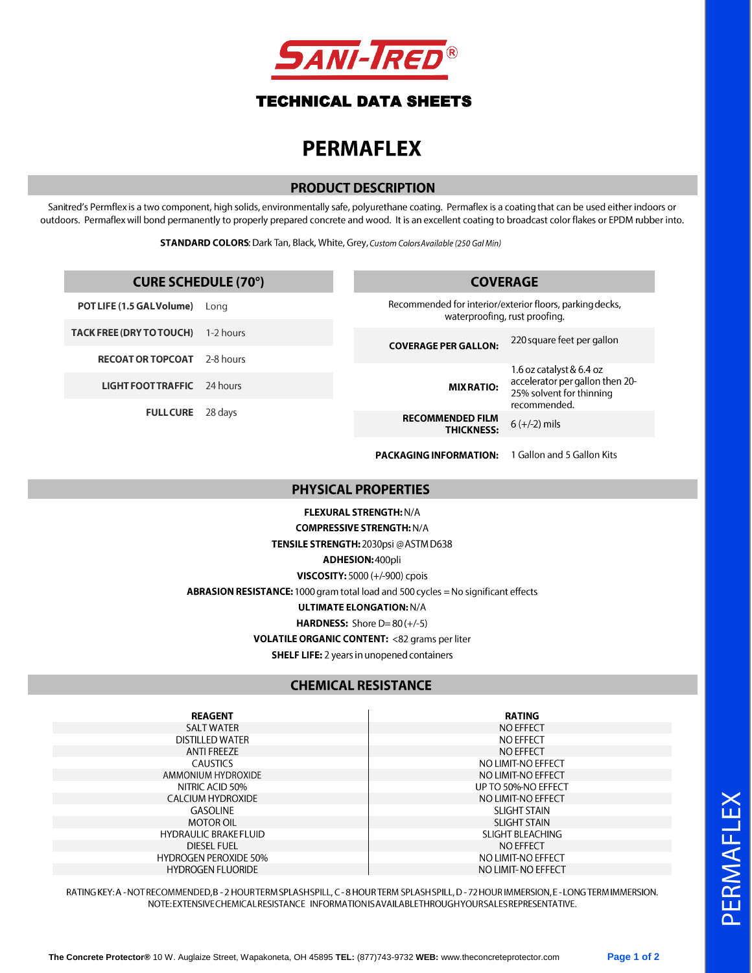

## **TECHNICAL DATA SHEETS**

# **PERMAFLEX**

#### **PRODUCT DESCRIPTION**

Sanitred's Permflex is a two component, high solids, environmentally safe, polyurethane coating. Permaflex is a coating that can be used either indoors or outdoors. Permaflex will bond permanently to properly prepared concrete and wood. It is an excellent coating to broadcast color flakes or EPDM rubber into.

STANDARD COLORS: Dark Tan, Black, White, Grey, Custom Colors Available (250 Gal Min)

| <b>CURE SCHEDULE (70°)</b> |           | <b>COVERAGE</b>                                                                           |                                                                             |
|----------------------------|-----------|-------------------------------------------------------------------------------------------|-----------------------------------------------------------------------------|
| POT LIFE (1.5 GAL Volume)  | Long      | Recommended for interior/exterior floors, parking decks,<br>waterproofing, rust proofing. |                                                                             |
| TACK FREE (DRY TO TOUCH)   | 1-2 hours | <b>COVERAGE PER GALLON:</b><br><b>MIX RATIO:</b>                                          | 220 square feet per gallon                                                  |
| <b>RECOAT OR TOPCOAT</b>   | 2-8 hours |                                                                                           | 1.6 oz catalyst & 6.4 oz                                                    |
| <b>LIGHT FOOT TRAFFIC</b>  | 24 hours  |                                                                                           | accelerator per gallon then 20-<br>25% solvent for thinning<br>recommended. |
| <b>FULL CURE</b>           | 28 days   | <b>RECOMMENDED FILM</b><br><b>THICKNESS:</b>                                              | $6 (+/-2)$ mils                                                             |
|                            |           | <b>PACKAGING INFORMATION:</b>                                                             | 1 Gallon and 5 Gallon Kits                                                  |
| <b>PHYSICAL PROPERTIES</b> |           |                                                                                           |                                                                             |
|                            |           |                                                                                           |                                                                             |

FLEXURAL STRENGTH: N/A **COMPRESSIVE STRENGTH: N/A** TENSILE STRENGTH: 2030psi @ ASTM D638 ADHESION: 400pli VISCOSITY: 5000 (+/-900) cpois ABRASION RESISTANCE: 1000 gram total load and 500 cycles = No significant effects **ULTIMATE ELONGATION: N/A** HARDNESS: Shore  $D=80 (+/-5)$ VOLATILE ORGANIC CONTENT: <82 grams per liter **SHELF LIFE:** 2 years in unopened containers

#### **CHEMICAL RESISTANCE**

**REAGENT SALT WATER DISTILLED WATER ANTI FREEZE CAUSTICS** AMMONIUM HYDROXIDE NITRIC ACID 50% **CALCIUM HYDROXIDE** GASOLINE **MOTOR OIL HYDRAULIC BRAKE FLUID DIESEL FUEL HYDROGEN PEROXIDE 50% HYDROGEN FLUORIDE** 

**RATING NO EFFECT NO EFFECT** NO EFFECT NO LIMIT-NO EFFECT NO LIMIT-NO EFFECT UP TO 50%-NO EFFECT NO LIMIT-NO EFFECT **SLIGHT STAIN SLIGHT STAIN** SLIGHT BLEACHING NO EFFECT NO LIMIT-NO EFFECT NO LIMIT- NO EFFECT

RATING KEY: A - NOT RECOMMENDED, B - 2 HOUR TERM SPLASH SPILL, C - 8 HOUR TERM SPLASH SPILL, D - 72 HOUR IMMERSION, E - LONG TERM IMMERSION. NOTE: EXTENSIVE CHEMICAL RESISTANCE INFORMATIONIS AVAILABLETHROUGHYOUR SALES REPRESENTATIVE.